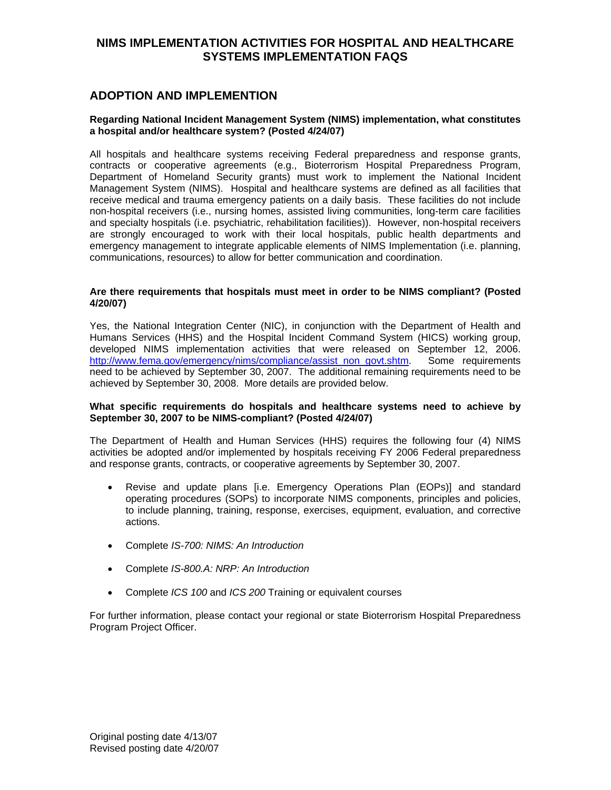# **ADOPTION AND IMPLEMENTION**

## **Regarding National Incident Management System (NIMS) implementation, what constitutes a hospital and/or healthcare system? (Posted 4/24/07)**

All hospitals and healthcare systems receiving Federal preparedness and response grants, contracts or cooperative agreements (e.g., Bioterrorism Hospital Preparedness Program, Department of Homeland Security grants) must work to implement the National Incident Management System (NIMS). Hospital and healthcare systems are defined as all facilities that receive medical and trauma emergency patients on a daily basis. These facilities do not include non-hospital receivers (i.e., nursing homes, assisted living communities, long-term care facilities and specialty hospitals (i.e. psychiatric, rehabilitation facilities)). However, non-hospital receivers are strongly encouraged to work with their local hospitals, public health departments and emergency management to integrate applicable elements of NIMS Implementation (i.e. planning, communications, resources) to allow for better communication and coordination.

## **Are there requirements that hospitals must meet in order to be NIMS compliant? (Posted 4/20/07)**

Yes, the National Integration Center (NIC), in conjunction with the Department of Health and Humans Services (HHS) and the Hospital Incident Command System (HICS) working group, developed NIMS implementation activities that were released on September 12, 2006. [http://www.fema.gov/emergency/nims/compliance/assist\\_non\\_govt.shtm.](http://www.fema.gov/emergency/nims/compliance/assist_non_govt.shtm) Some requirements need to be achieved by September 30, 2007. The additional remaining requirements need to be achieved by September 30, 2008. More details are provided below.

## **What specific requirements do hospitals and healthcare systems need to achieve by September 30, 2007 to be NIMS-compliant? (Posted 4/24/07)**

The Department of Health and Human Services (HHS) requires the following four (4) NIMS activities be adopted and/or implemented by hospitals receiving FY 2006 Federal preparedness and response grants, contracts, or cooperative agreements by September 30, 2007.

- Revise and update plans [i.e. Emergency Operations Plan (EOPs)] and standard operating procedures (SOPs) to incorporate NIMS components, principles and policies, to include planning, training, response, exercises, equipment, evaluation, and corrective actions.
- Complete *IS-700: NIMS: An Introduction*
- Complete *IS-800.A: NRP: An Introduction*
- Complete *ICS 100* and *ICS 200* Training or equivalent courses

For further information, please contact your regional or state Bioterrorism Hospital Preparedness Program Project Officer.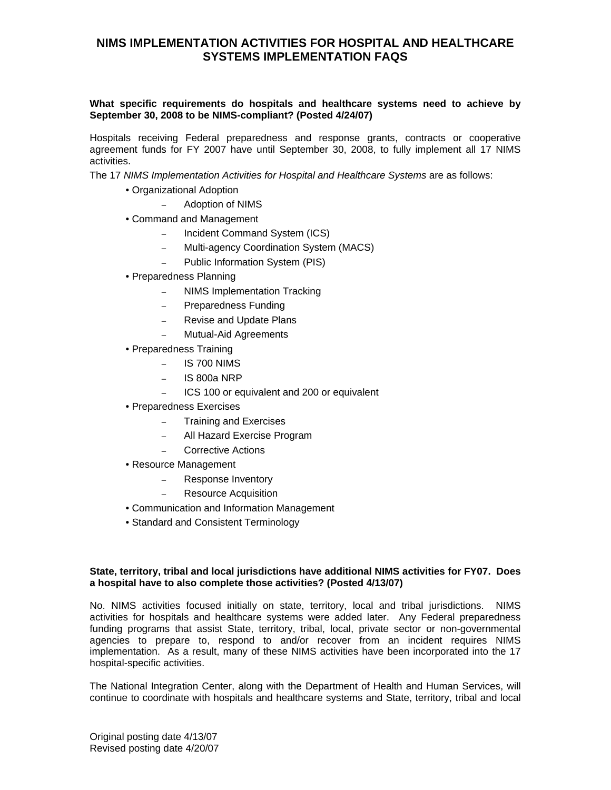# **What specific requirements do hospitals and healthcare systems need to achieve by September 30, 2008 to be NIMS-compliant? (Posted 4/24/07)**

Hospitals receiving Federal preparedness and response grants, contracts or cooperative agreement funds for FY 2007 have until September 30, 2008, to fully implement all 17 NIMS activities.

The 17 *NIMS Implementation Activities for Hospital and Healthcare Systems* are as follows:

- Organizational Adoption
	- Adoption of NIMS
- Command and Management
	- Incident Command System (ICS)
	- Multi-agency Coordination System (MACS)
	- Public Information System (PIS)
- Preparedness Planning
	- NIMS Implementation Tracking
	- Preparedness Funding
	- Revise and Update Plans
	- Mutual-Aid Agreements
- Preparedness Training
	- $-$  IS 700 NIMS
	- IS 800a NRP
	- ICS 100 or equivalent and 200 or equivalent
- Preparedness Exercises
	- Training and Exercises
	- All Hazard Exercise Program
	- Corrective Actions
- Resource Management
	- Response Inventory
	- Resource Acquisition
- Communication and Information Management
- Standard and Consistent Terminology

# **State, territory, tribal and local jurisdictions have additional NIMS activities for FY07. Does a hospital have to also complete those activities? (Posted 4/13/07)**

No. NIMS activities focused initially on state, territory, local and tribal jurisdictions. NIMS activities for hospitals and healthcare systems were added later. Any Federal preparedness funding programs that assist State, territory, tribal, local, private sector or non-governmental agencies to prepare to, respond to and/or recover from an incident requires NIMS implementation. As a result, many of these NIMS activities have been incorporated into the 17 hospital-specific activities.

The National Integration Center, along with the Department of Health and Human Services, will continue to coordinate with hospitals and healthcare systems and State, territory, tribal and local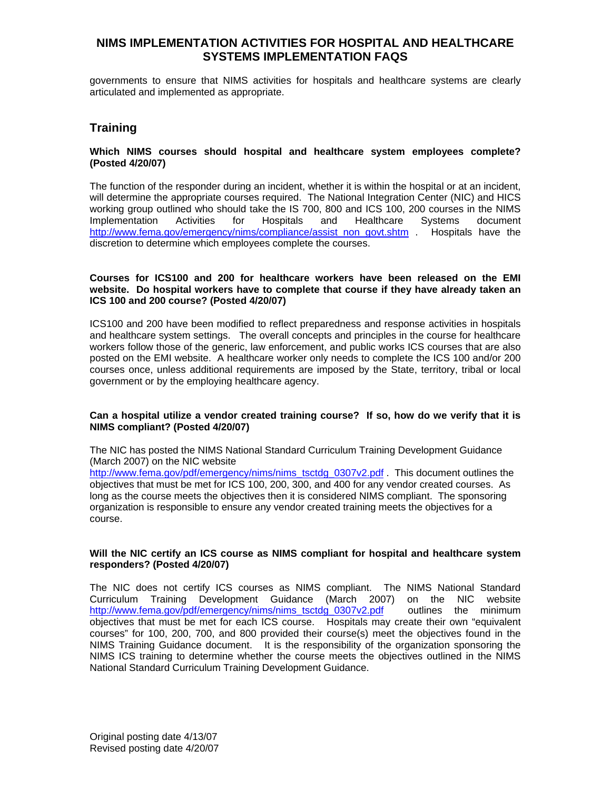governments to ensure that NIMS activities for hospitals and healthcare systems are clearly articulated and implemented as appropriate.

# **Training**

### **Which NIMS courses should hospital and healthcare system employees complete? (Posted 4/20/07)**

The function of the responder during an incident, whether it is within the hospital or at an incident, will determine the appropriate courses required. The National Integration Center (NIC) and HICS working group outlined who should take the IS 700, 800 and ICS 100, 200 courses in the NIMS Implementation Activities for Hospitals and Healthcare Systems document [http://www.fema.gov/emergency/nims/compliance/assist\\_non\\_govt.shtm](http://www.fema.gov/emergency/nims/compliance/assist_non_govt.shtm) . Hospitals have the discretion to determine which employees complete the courses.

### **Courses for ICS100 and 200 for healthcare workers have been released on the EMI website. Do hospital workers have to complete that course if they have already taken an ICS 100 and 200 course? (Posted 4/20/07)**

ICS100 and 200 have been modified to reflect preparedness and response activities in hospitals and healthcare system settings. The overall concepts and principles in the course for healthcare workers follow those of the generic, law enforcement, and public works ICS courses that are also posted on the EMI website. A healthcare worker only needs to complete the ICS 100 and/or 200 courses once, unless additional requirements are imposed by the State, territory, tribal or local government or by the employing healthcare agency.

## **Can a hospital utilize a vendor created training course? If so, how do we verify that it is NIMS compliant? (Posted 4/20/07)**

The NIC has posted the NIMS National Standard Curriculum Training Development Guidance (March 2007) on the NIC website

[http://www.fema.gov/pdf/emergency/nims/nims\\_tsctdg\\_0307v2.pdf](http://www.fema.gov/pdf/emergency/nims/nims_tsctdg_0307v2.pdf) . This document outlines the objectives that must be met for ICS 100, 200, 300, and 400 for any vendor created courses. As long as the course meets the objectives then it is considered NIMS compliant. The sponsoring organization is responsible to ensure any vendor created training meets the objectives for a course.

## **Will the NIC certify an ICS course as NIMS compliant for hospital and healthcare system responders? (Posted 4/20/07)**

The NIC does not certify ICS courses as NIMS compliant. The NIMS National Standard Curriculum Training Development Guidance (March 2007) on the NIC website [http://www.fema.gov/pdf/emergency/nims/nims\\_tsctdg\\_0307v2.pdf](http://www.fema.gov/pdf/emergency/nims/nims_tsctdg_0307v2.pdf) outlines the minimum objectives that must be met for each ICS course. Hospitals may create their own "equivalent courses" for 100, 200, 700, and 800 provided their course(s) meet the objectives found in the NIMS Training Guidance document. It is the responsibility of the organization sponsoring the NIMS ICS training to determine whether the course meets the objectives outlined in the NIMS National Standard Curriculum Training Development Guidance.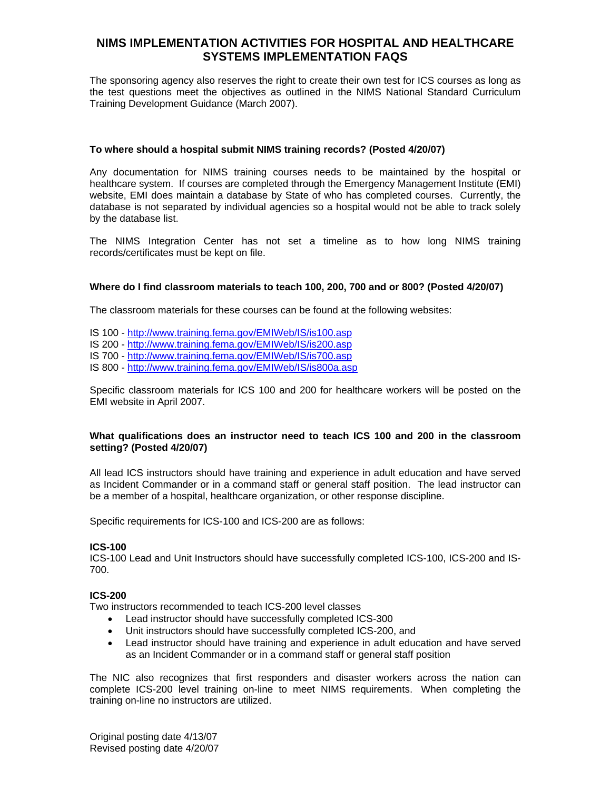The sponsoring agency also reserves the right to create their own test for ICS courses as long as the test questions meet the objectives as outlined in the NIMS National Standard Curriculum Training Development Guidance (March 2007).

### **To where should a hospital submit NIMS training records? (Posted 4/20/07)**

Any documentation for NIMS training courses needs to be maintained by the hospital or healthcare system. If courses are completed through the Emergency Management Institute (EMI) website, EMI does maintain a database by State of who has completed courses. Currently, the database is not separated by individual agencies so a hospital would not be able to track solely by the database list.

The NIMS Integration Center has not set a timeline as to how long NIMS training records/certificates must be kept on file.

#### **Where do I find classroom materials to teach 100, 200, 700 and or 800? (Posted 4/20/07)**

The classroom materials for these courses can be found at the following websites:

- IS 100 <http://www.training.fema.gov/EMIWeb/IS/is100.asp>
- IS 200 <http://www.training.fema.gov/EMIWeb/IS/is200.asp>
- IS 700 <http://www.training.fema.gov/EMIWeb/IS/is700.asp>
- IS 800 <http://www.training.fema.gov/EMIWeb/IS/is800a.asp>

Specific classroom materials for ICS 100 and 200 for healthcare workers will be posted on the EMI website in April 2007.

#### **What qualifications does an instructor need to teach ICS 100 and 200 in the classroom setting? (Posted 4/20/07)**

All lead ICS instructors should have training and experience in adult education and have served as Incident Commander or in a command staff or general staff position. The lead instructor can be a member of a hospital, healthcare organization, or other response discipline.

Specific requirements for ICS-100 and ICS-200 are as follows:

#### **ICS-100**

ICS-100 Lead and Unit Instructors should have successfully completed ICS-100, ICS-200 and IS-700.

# **ICS-200**

Two instructors recommended to teach ICS-200 level classes

- Lead instructor should have successfully completed ICS-300
- Unit instructors should have successfully completed ICS-200, and
- Lead instructor should have training and experience in adult education and have served as an Incident Commander or in a command staff or general staff position

The NIC also recognizes that first responders and disaster workers across the nation can complete ICS-200 level training on-line to meet NIMS requirements. When completing the training on-line no instructors are utilized.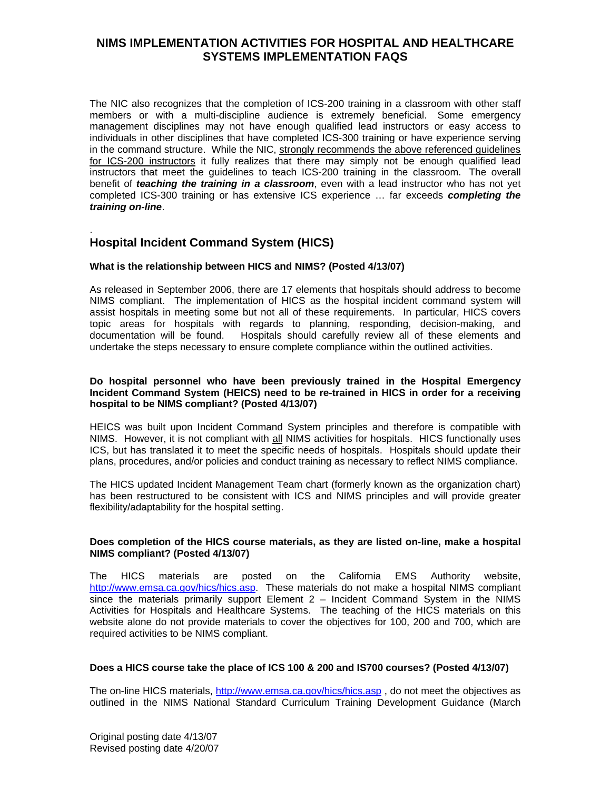The NIC also recognizes that the completion of ICS-200 training in a classroom with other staff members or with a multi-discipline audience is extremely beneficial. Some emergency management disciplines may not have enough qualified lead instructors or easy access to individuals in other disciplines that have completed ICS-300 training or have experience serving in the command structure. While the NIC, strongly recommends the above referenced guidelines for ICS-200 instructors it fully realizes that there may simply not be enough qualified lead instructors that meet the guidelines to teach ICS-200 training in the classroom. The overall benefit of *teaching the training in a classroom*, even with a lead instructor who has not yet completed ICS-300 training or has extensive ICS experience … far exceeds *completing the training on-line*.

# . **Hospital Incident Command System (HICS)**

# **What is the relationship between HICS and NIMS? (Posted 4/13/07)**

As released in September 2006, there are 17 elements that hospitals should address to become NIMS compliant. The implementation of HICS as the hospital incident command system will assist hospitals in meeting some but not all of these requirements. In particular, HICS covers topic areas for hospitals with regards to planning, responding, decision-making, and documentation will be found. Hospitals should carefully review all of these elements and undertake the steps necessary to ensure complete compliance within the outlined activities.

## **Do hospital personnel who have been previously trained in the Hospital Emergency Incident Command System (HEICS) need to be re-trained in HICS in order for a receiving hospital to be NIMS compliant? (Posted 4/13/07)**

HEICS was built upon Incident Command System principles and therefore is compatible with NIMS. However, it is not compliant with all NIMS activities for hospitals. HICS functionally uses ICS, but has translated it to meet the specific needs of hospitals. Hospitals should update their plans, procedures, and/or policies and conduct training as necessary to reflect NIMS compliance.

The HICS updated Incident Management Team chart (formerly known as the organization chart) has been restructured to be consistent with ICS and NIMS principles and will provide greater flexibility/adaptability for the hospital setting.

## **Does completion of the HICS course materials, as they are listed on-line, make a hospital NIMS compliant? (Posted 4/13/07)**

The HICS materials are posted on the California EMS Authority website, <http://www.emsa.ca.gov/hics/hics.asp>. These materials do not make a hospital NIMS compliant since the materials primarily support Element 2 – Incident Command System in the NIMS Activities for Hospitals and Healthcare Systems. The teaching of the HICS materials on this website alone do not provide materials to cover the objectives for 100, 200 and 700, which are required activities to be NIMS compliant.

## **Does a HICS course take the place of ICS 100 & 200 and IS700 courses? (Posted 4/13/07)**

The on-line HICS materials,<http://www.emsa.ca.gov/hics/hics.asp>, do not meet the objectives as outlined in the NIMS National Standard Curriculum Training Development Guidance (March